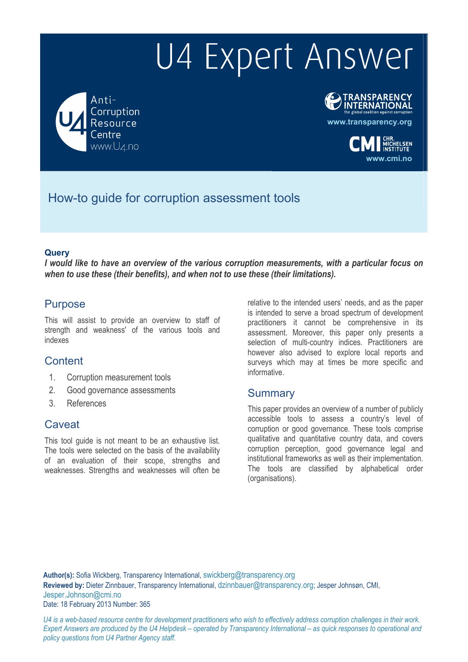# U4 Expert Answer

Anti-Corruption Resource www.U4.no



**www.cmi.no**

How-to guide for corruption assessment tools

#### **Query**

*I would like to have an overview of the various corruption measurements, with a particular focus on when to use these (their benefits), and when not to use these (their limitations).* 

### Purpose

This will assist to provide an overview to staff of strength and weakness' of the various tools and indexes

### Content

- 1. Corruption measurement tools
- 2. Good governance assessments
- 3. References

# **Caveat**

This tool guide is not meant to be an exhaustive list. The tools were selected on the basis of the availability of an evaluation of their scope, strengths and weaknesses. Strengths and weaknesses will often be

relative to the intended users' needs, and as the paper is intended to serve a broad spectrum of development practitioners it cannot be comprehensive in its assessment. Moreover, this paper only presents a selection of multi-country indices. Practitioners are however also advised to explore local reports and surveys which may at times be more specific and informative.

### **Summary**

This paper provides an overview of a number of publicly accessible tools to assess a country's level of corruption or good governance. These tools comprise qualitative and quantitative country data, and covers corruption perception, good governance legal and institutional frameworks as well as their implementation. The tools are classified by alphabetical order (organisations).

**Author(s):** Sofia Wickberg, Transparency International, swickberg@transparency.org **Reviewed by:** Dieter Zinnbauer, Transparency International, dzinnbauer@transparency.org; Jesper Johnsøn, CMI, Jesper.Johnson@cmi.no Date: 18 February 2013 Number: 365

*U4 is a web-based resource centre for development practitioners who wish to effectively address corruption challenges in their work. Expert Answers are produced by the U4 Helpdesk – operated by Transparency International – as quick responses to operational and policy questions from U4 Partner Agency staff.*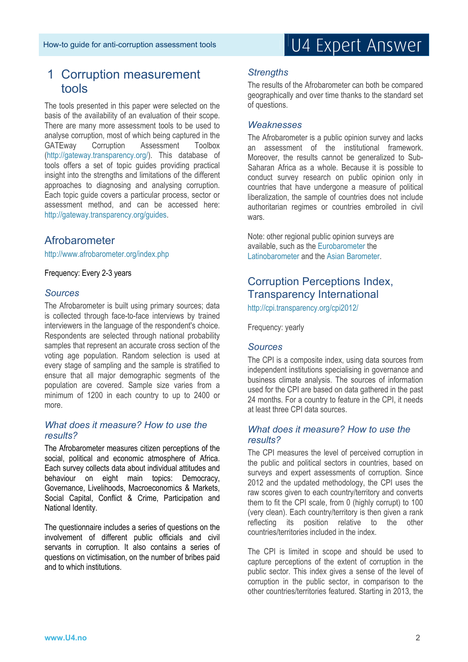# 1 Corruption measurement tools

The tools presented in this paper were selected on the basis of the availability of an evaluation of their scope. There are many more assessment tools to be used to analyse corruption, most of which being captured in the GATEway Corruption Assessment Toolbox (http://gateway.transparency.org/). This database of tools offers a set of topic guides providing practical insight into the strengths and limitations of the different approaches to diagnosing and analysing corruption. Each topic guide covers a particular process, sector or assessment method, and can be accessed here: http://gateway.transparency.org/guides.

# Afrobarometer

http://www.afrobarometer.org/index.php

Frequency: Every 2-3 years

#### *Sources*

The Afrobarometer is built using primary sources; data is collected through face-to-face interviews by trained interviewers in the language of the respondent's choice. Respondents are selected through national probability samples that represent an accurate cross section of the voting age population. Random selection is used at every stage of sampling and the sample is stratified to ensure that all major demographic segments of the population are covered. Sample size varies from a minimum of 1200 in each country to up to 2400 or more.

#### *What does it measure? How to use the results?*

The Afrobarometer measures citizen perceptions of the social, political and economic atmosphere of Africa. Each survey collects data about individual attitudes and behaviour on eight main topics: Democracy, Governance, Livelihoods, Macroeconomics & Markets, Social Capital, Conflict & Crime, Participation and National Identity.

The questionnaire includes a series of questions on the involvement of different public officials and civil servants in corruption. It also contains a series of questions on victimisation, on the number of bribes paid and to which institutions.

# U4 Expert Answer

#### *Strengths*

The results of the Afrobarometer can both be compared geographically and over time thanks to the standard set of questions.

#### *Weaknesses*

The Afrobarometer is a public opinion survey and lacks an assessment of the institutional framework. Moreover, the results cannot be generalized to Sub-Saharan Africa as a whole. Because it is possible to conduct survey research on public opinion only in countries that have undergone a measure of political liberalization, the sample of countries does not include authoritarian regimes or countries embroiled in civil wars.

Note: other regional public opinion surveys are available, such as the Eurobarometer the Latinobarometer and the Asian Barometer.

# Corruption Perceptions Index, Transparency International

http://cpi.transparency.org/cpi2012/

Frequency: yearly

#### *Sources*

The CPI is a composite index, using data sources from independent institutions specialising in governance and business climate analysis. The sources of information used for the CPI are based on data gathered in the past 24 months. For a country to feature in the CPI, it needs at least three CPI data sources.

#### *What does it measure? How to use the results?*

The CPI measures the level of perceived corruption in the public and political sectors in countries, based on surveys and expert assessments of corruption. Since 2012 and the updated methodology, the CPI uses the raw scores given to each country/territory and converts them to fit the CPI scale, from 0 (highly corrupt) to 100 (very clean). Each country/territory is then given a rank reflecting its position relative to the other countries/territories included in the index.

The CPI is limited in scope and should be used to capture perceptions of the extent of corruption in the public sector. This index gives a sense of the level of corruption in the public sector, in comparison to the other countries/territories featured. Starting in 2013, the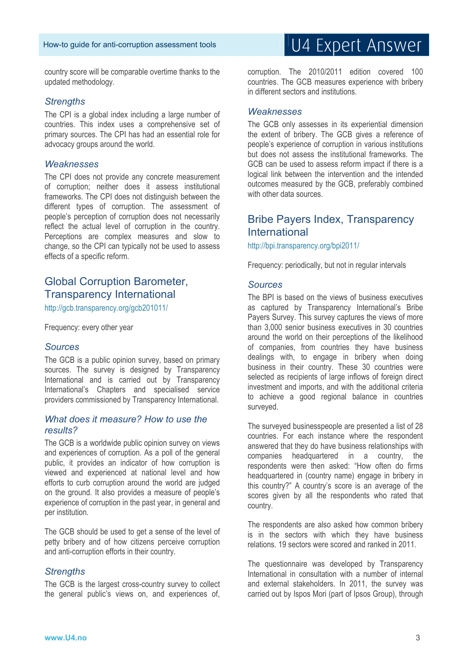country score will be comparable overtime thanks to the updated methodology.

#### *Strengths*

The CPI is a global index including a large number of countries. This index uses a comprehensive set of primary sources. The CPI has had an essential role for advocacy groups around the world.

#### *Weaknesses*

The CPI does not provide any concrete measurement of corruption; neither does it assess institutional frameworks. The CPI does not distinguish between the different types of corruption. The assessment of people's perception of corruption does not necessarily reflect the actual level of corruption in the country. Perceptions are complex measures and slow to change, so the CPI can typically not be used to assess effects of a specific reform.

# Global Corruption Barometer, Transparency International

http://gcb.transparency.org/gcb201011/

Frequency: every other year

#### *Sources*

The GCB is a public opinion survey, based on primary sources. The survey is designed by Transparency International and is carried out by Transparency International's Chapters and specialised service providers commissioned by Transparency International.

#### *What does it measure? How to use the results?*

The GCB is a worldwide public opinion survey on views and experiences of corruption. As a poll of the general public, it provides an indicator of how corruption is viewed and experienced at national level and how efforts to curb corruption around the world are judged on the ground. It also provides a measure of people's experience of corruption in the past year, in general and per institution.

The GCB should be used to get a sense of the level of petty bribery and of how citizens perceive corruption and anti-corruption efforts in their country.

#### *Strengths*

The GCB is the largest cross-country survey to collect the general public's views on, and experiences of,

# U4 Expert Answer

corruption. The 2010/2011 edition covered 100 countries. The GCB measures experience with bribery in different sectors and institutions.

#### *Weaknesses*

The GCB only assesses in its experiential dimension the extent of bribery. The GCB gives a reference of people's experience of corruption in various institutions but does not assess the institutional frameworks. The GCB can be used to assess reform impact if there is a logical link between the intervention and the intended outcomes measured by the GCB, preferably combined with other data sources.

### Bribe Payers Index, Transparency International

http://bpi.transparency.org/bpi2011/

Frequency: periodically, but not in regular intervals

#### *Sources*

The BPI is based on the views of business executives as captured by Transparency International's Bribe Payers Survey. This survey captures the views of more than 3,000 senior business executives in 30 countries around the world on their perceptions of the likelihood of companies, from countries they have business dealings with, to engage in bribery when doing business in their country. These 30 countries were selected as recipients of large inflows of foreign direct investment and imports, and with the additional criteria to achieve a good regional balance in countries surveyed.

The surveyed businesspeople are presented a list of 28 countries. For each instance where the respondent answered that they do have business relationships with companies headquartered in a country, the respondents were then asked: "How often do firms headquartered in (country name) engage in bribery in this country?" A country's score is an average of the scores given by all the respondents who rated that country.

The respondents are also asked how common bribery is in the sectors with which they have business relations. 19 sectors were scored and ranked in 2011.

The questionnaire was developed by Transparency International in consultation with a number of internal and external stakeholders. In 2011, the survey was carried out by Ispos Mori (part of Ipsos Group), through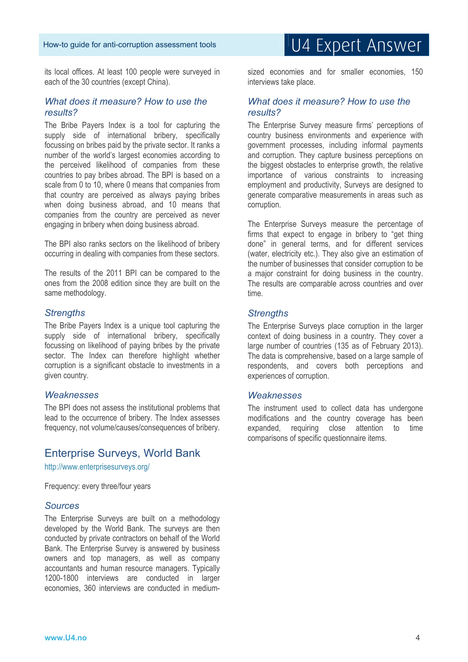its local offices. At least 100 people were surveyed in each of the 30 countries (except China).

#### *What does it measure? How to use the results?*

The Bribe Payers Index is a tool for capturing the supply side of international bribery, specifically focussing on bribes paid by the private sector. It ranks a number of the world's largest economies according to the perceived likelihood of companies from these countries to pay bribes abroad. The BPI is based on a scale from 0 to 10, where 0 means that companies from that country are perceived as always paying bribes when doing business abroad, and 10 means that companies from the country are perceived as never engaging in bribery when doing business abroad.

The BPI also ranks sectors on the likelihood of bribery occurring in dealing with companies from these sectors.

The results of the 2011 BPI can be compared to the ones from the 2008 edition since they are built on the same methodology.

#### *Strengths*

The Bribe Payers Index is a unique tool capturing the supply side of international bribery, specifically focussing on likelihood of paying bribes by the private sector. The Index can therefore highlight whether corruption is a significant obstacle to investments in a given country.

#### *Weaknesses*

The BPI does not assess the institutional problems that lead to the occurrence of bribery. The Index assesses frequency, not volume/causes/consequences of bribery.

#### Enterprise Surveys, World Bank

http://www.enterprisesurveys.org/

Frequency: every three/four years

#### *Sources*

The Enterprise Surveys are built on a methodology developed by the World Bank. The surveys are then conducted by private contractors on behalf of the World Bank. The Enterprise Survey is answered by business owners and top managers, as well as company accountants and human resource managers. Typically 1200-1800 interviews are conducted in larger economies, 360 interviews are conducted in mediumU4 Expert Answer

sized economies and for smaller economies, 150 interviews take place.

#### *What does it measure? How to use the results?*

The Enterprise Survey measure firms' perceptions of country business environments and experience with government processes, including informal payments and corruption. They capture business perceptions on the biggest obstacles to enterprise growth, the relative importance of various constraints to increasing employment and productivity, Surveys are designed to generate comparative measurements in areas such as corruption.

The Enterprise Surveys measure the percentage of firms that expect to engage in bribery to "get thing done" in general terms, and for different services (water, electricity etc.). They also give an estimation of the number of businesses that consider corruption to be a major constraint for doing business in the country. The results are comparable across countries and over time.

#### *Strengths*

The Enterprise Surveys place corruption in the larger context of doing business in a country. They cover a large number of countries (135 as of February 2013). The data is comprehensive, based on a large sample of respondents, and covers both perceptions and experiences of corruption.

#### *Weaknesses*

The instrument used to collect data has undergone modifications and the country coverage has been expanded, requiring close attention to time comparisons of specific questionnaire items.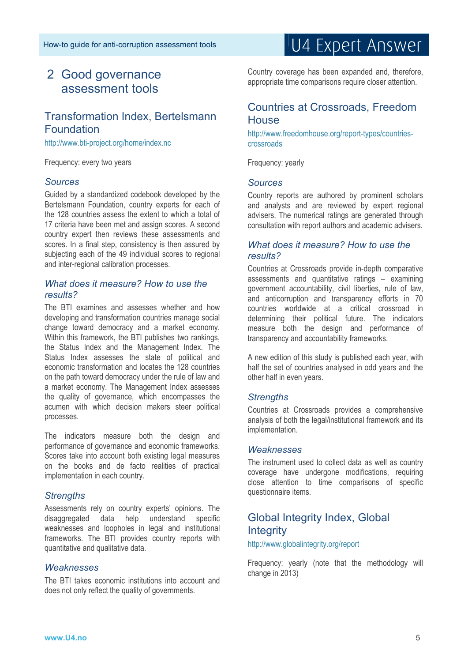# 2 Good governance assessment tools

# Transformation Index, Bertelsmann Foundation

http://www.bti-project.org/home/index.nc

Frequency: every two years

#### *Sources*

Guided by a standardized codebook developed by the Bertelsmann Foundation, country experts for each of the 128 countries assess the extent to which a total of 17 criteria have been met and assign scores. A second country expert then reviews these assessments and scores. In a final step, consistency is then assured by subjecting each of the 49 individual scores to regional and inter-regional calibration processes.

#### *What does it measure? How to use the results?*

The BTI examines and assesses whether and how developing and transformation countries manage social change toward democracy and a market economy. Within this framework, the BTI publishes two rankings, the Status Index and the Management Index. The Status Index assesses the state of political and economic transformation and locates the 128 countries on the path toward democracy under the rule of law and a market economy. The Management Index assesses the quality of governance, which encompasses the acumen with which decision makers steer political processes.

The indicators measure both the design and performance of governance and economic frameworks. Scores take into account both existing legal measures on the books and de facto realities of practical implementation in each country.

#### *Strengths*

Assessments rely on country experts' opinions. The disaggregated data help understand specific weaknesses and loopholes in legal and institutional frameworks. The BTI provides country reports with quantitative and qualitative data.

#### *Weaknesses*

The BTI takes economic institutions into account and does not only reflect the quality of governments.

# U4 Expert Answer

Country coverage has been expanded and, therefore, appropriate time comparisons require closer attention.

### Countries at Crossroads, Freedom **House**

http://www.freedomhouse.org/report-types/countriescrossroads

Frequency: yearly

#### *Sources*

Country reports are authored by prominent scholars and analysts and are reviewed by expert regional advisers. The numerical ratings are generated through consultation with report authors and academic advisers.

#### *What does it measure? How to use the results?*

Countries at Crossroads provide in-depth comparative assessments and quantitative ratings – examining government accountability, civil liberties, rule of law, and anticorruption and transparency efforts in 70 countries worldwide at a critical crossroad in determining their political future. The indicators measure both the design and performance of transparency and accountability frameworks.

A new edition of this study is published each year, with half the set of countries analysed in odd years and the other half in even years.

#### *Strengths*

Countries at Crossroads provides a comprehensive analysis of both the legal/institutional framework and its implementation.

#### *Weaknesses*

The instrument used to collect data as well as country coverage have undergone modifications, requiring close attention to time comparisons of specific questionnaire items.

# Global Integrity Index, Global **Integrity**

http://www.globalintegrity.org/report

Frequency: yearly (note that the methodology will change in 2013)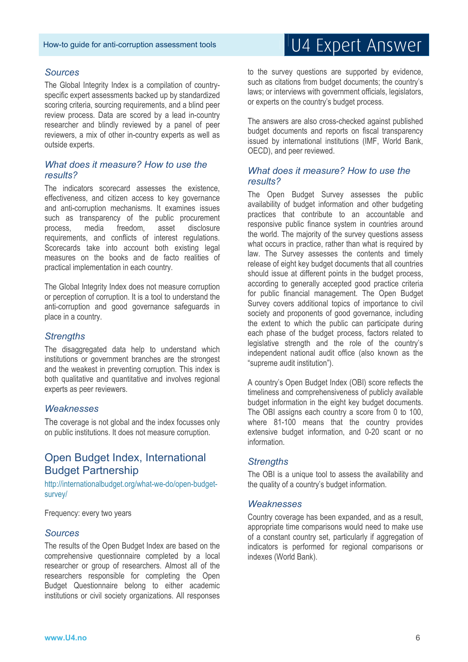#### *Sources*

The Global Integrity Index is a compilation of countryspecific expert assessments backed up by standardized scoring criteria, sourcing requirements, and a blind peer review process. Data are scored by a lead in-country researcher and blindly reviewed by a panel of peer reviewers, a mix of other in-country experts as well as outside experts.

#### *What does it measure? How to use the results?*

The indicators scorecard assesses the existence, effectiveness, and citizen access to key governance and anti-corruption mechanisms. It examines issues such as transparency of the public procurement process, media freedom, asset disclosure requirements, and conflicts of interest regulations. Scorecards take into account both existing legal measures on the books and de facto realities of practical implementation in each country.

The Global Integrity Index does not measure corruption or perception of corruption. It is a tool to understand the anti-corruption and good governance safeguards in place in a country.

#### *Strengths*

The disaggregated data help to understand which institutions or government branches are the strongest and the weakest in preventing corruption. This index is both qualitative and quantitative and involves regional experts as peer reviewers.

#### *Weaknesses*

The coverage is not global and the index focusses only on public institutions. It does not measure corruption.

### Open Budget Index, International Budget Partnership

http://internationalbudget.org/what-we-do/open-budgetsurvey/

Frequency: every two years

#### *Sources*

The results of the Open Budget Index are based on the comprehensive questionnaire completed by a local researcher or group of researchers. Almost all of the researchers responsible for completing the Open Budget Questionnaire belong to either academic institutions or civil society organizations. All responses

# U4 Expert Answer

to the survey questions are supported by evidence, such as citations from budget documents; the country's laws; or interviews with government officials, legislators, or experts on the country's budget process.

The answers are also cross-checked against published budget documents and reports on fiscal transparency issued by international institutions (IMF, World Bank, OECD), and peer reviewed.

#### *What does it measure? How to use the results?*

The Open Budget Survey assesses the public availability of budget information and other budgeting practices that contribute to an accountable and responsive public finance system in countries around the world. The majority of the survey questions assess what occurs in practice, rather than what is required by law. The Survey assesses the contents and timely release of eight key budget documents that all countries should issue at different points in the budget process, according to generally accepted good practice criteria for public financial management. The Open Budget Survey covers additional topics of importance to civil society and proponents of good governance, including the extent to which the public can participate during each phase of the budget process, factors related to legislative strength and the role of the country's independent national audit office (also known as the "supreme audit institution").

A country's Open Budget Index (OBI) score reflects the timeliness and comprehensiveness of publicly available budget information in the eight key budget documents. The OBI assigns each country a score from 0 to 100, where 81-100 means that the country provides extensive budget information, and 0-20 scant or no information.

#### *Strengths*

The OBI is a unique tool to assess the availability and the quality of a country's budget information.

#### *Weaknesses*

Country coverage has been expanded, and as a result, appropriate time comparisons would need to make use of a constant country set, particularly if aggregation of indicators is performed for regional comparisons or indexes (World Bank).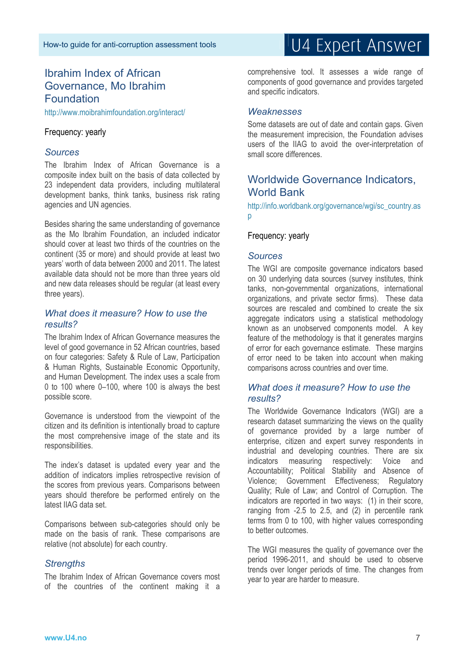# Ibrahim Index of African Governance, Mo Ibrahim Foundation

http://www.moibrahimfoundation.org/interact/

#### Frequency: yearly

#### *Sources*

The Ibrahim Index of African Governance is a composite index built on the basis of data collected by 23 independent data providers, including multilateral development banks, think tanks, business risk rating agencies and UN agencies.

Besides sharing the same understanding of governance as the Mo Ibrahim Foundation, an included indicator should cover at least two thirds of the countries on the continent (35 or more) and should provide at least two years' worth of data between 2000 and 2011. The latest available data should not be more than three years old and new data releases should be regular (at least every three years).

#### *What does it measure? How to use the results?*

The Ibrahim Index of African Governance measures the level of good governance in 52 African countries, based on four categories: Safety & Rule of Law, Participation & Human Rights, Sustainable Economic Opportunity, and Human Development. The index uses a scale from 0 to 100 where 0–100, where 100 is always the best possible score.

Governance is understood from the viewpoint of the citizen and its definition is intentionally broad to capture the most comprehensive image of the state and its responsibilities.

The index's dataset is updated every year and the addition of indicators implies retrospective revision of the scores from previous years. Comparisons between years should therefore be performed entirely on the latest IIAG data set.

Comparisons between sub-categories should only be made on the basis of rank. These comparisons are relative (not absolute) for each country.

#### *Strengths*

The Ibrahim Index of African Governance covers most of the countries of the continent making it a

# U4 Expert Answer

comprehensive tool. It assesses a wide range of components of good governance and provides targeted and specific indicators.

#### *Weaknesses*

Some datasets are out of date and contain gaps. Given the measurement imprecision, the Foundation advises users of the IIAG to avoid the over-interpretation of small score differences.

# Worldwide Governance Indicators, World Bank

http://info.worldbank.org/governance/wgi/sc\_country.as  $\mathsf{D}$ 

#### Frequency: yearly

#### *Sources*

The WGI are composite governance indicators based on 30 underlying data sources (survey institutes, think tanks, non-governmental organizations, international organizations, and private sector firms). These data sources are rescaled and combined to create the six aggregate indicators using a statistical methodology known as an unobserved components model. A key feature of the methodology is that it generates margins of error for each governance estimate. These margins of error need to be taken into account when making comparisons across countries and over time.

#### *What does it measure? How to use the results?*

The Worldwide Governance Indicators (WGI) are a research dataset summarizing the views on the quality of governance provided by a large number of enterprise, citizen and expert survey respondents in industrial and developing countries. There are six indicators measuring respectively: Voice and Accountability; Political Stability and Absence of Violence; Government Effectiveness; Regulatory Quality; Rule of Law; and Control of Corruption. The indicators are reported in two ways: (1) in their score, ranging from -2.5 to 2.5, and (2) in percentile rank terms from 0 to 100, with higher values corresponding to better outcomes.

The WGI measures the quality of governance over the period 1996-2011, and should be used to observe trends over longer periods of time. The changes from year to year are harder to measure.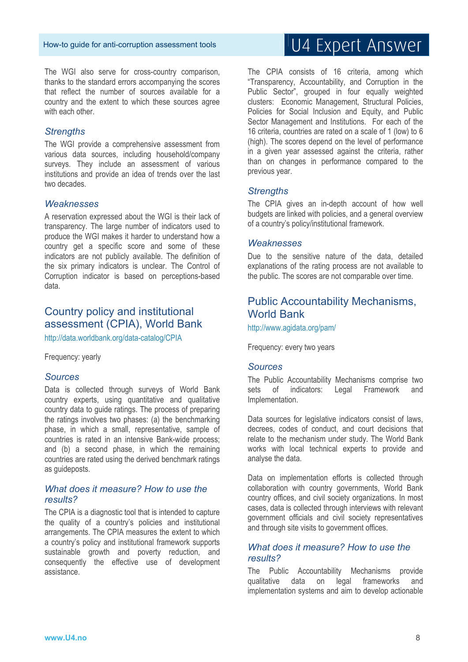The WGI also serve for cross-country comparison, thanks to the standard errors accompanying the scores that reflect the number of sources available for a country and the extent to which these sources agree with each other.

#### *Strengths*

The WGI provide a comprehensive assessment from various data sources, including household/company surveys. They include an assessment of various institutions and provide an idea of trends over the last two decades.

#### *Weaknesses*

A reservation expressed about the WGI is their lack of transparency. The large number of indicators used to produce the WGI makes it harder to understand how a country get a specific score and some of these indicators are not publicly available. The definition of the six primary indicators is unclear. The Control of Corruption indicator is based on perceptions-based data.

### Country policy and institutional assessment (CPIA), World Bank

http://data.worldbank.org/data-catalog/CPIA

Frequency: yearly

#### *Sources*

Data is collected through surveys of World Bank country experts, using quantitative and qualitative country data to guide ratings. The process of preparing the ratings involves two phases: (a) the benchmarking phase, in which a small, representative, sample of countries is rated in an intensive Bank-wide process; and (b) a second phase, in which the remaining countries are rated using the derived benchmark ratings as guideposts.

#### *What does it measure? How to use the results?*

The CPIA is a diagnostic tool that is intended to capture the quality of a country's policies and institutional arrangements. The CPIA measures the extent to which a country's policy and institutional framework supports sustainable growth and poverty reduction, and consequently the effective use of development assistance.

# U4 Expert Answer

The CPIA consists of 16 criteria, among which "Transparency, Accountability, and Corruption in the Public Sector", grouped in four equally weighted clusters: Economic Management, Structural Policies, Policies for Social Inclusion and Equity, and Public Sector Management and Institutions. For each of the 16 criteria, countries are rated on a scale of 1 (low) to 6 (high). The scores depend on the level of performance in a given year assessed against the criteria, rather than on changes in performance compared to the previous year.

#### *Strengths*

The CPIA gives an in-depth account of how well budgets are linked with policies, and a general overview of a country's policy/institutional framework.

#### *Weaknesses*

Due to the sensitive nature of the data, detailed explanations of the rating process are not available to the public. The scores are not comparable over time.

### Public Accountability Mechanisms, World Bank

http://www.agidata.org/pam/

Frequency: every two years

#### *Sources*

The Public Accountability Mechanisms comprise two sets of indicators: Legal Framework and Implementation.

Data sources for legislative indicators consist of laws. decrees, codes of conduct, and court decisions that relate to the mechanism under study. The World Bank works with local technical experts to provide and analyse the data.

Data on implementation efforts is collected through collaboration with country governments, World Bank country offices, and civil society organizations. In most cases, data is collected through interviews with relevant government officials and civil society representatives and through site visits to government offices.

#### *What does it measure? How to use the results?*

The Public Accountability Mechanisms provide qualitative data on legal frameworks and implementation systems and aim to develop actionable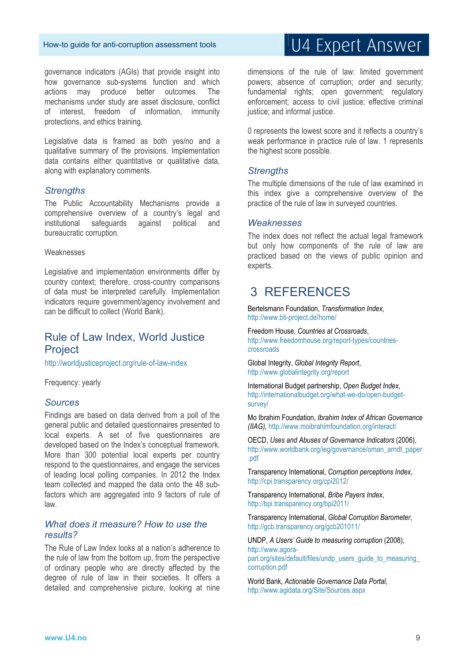governance indicators (AGIs) that provide insight into how governance sub-systems function and which actions may produce better outcomes. The mechanisms under study are asset disclosure, conflict of interest, freedom of information, immunity protections, and ethics training.

Legislative data is framed as both yes/no and a qualitative summary of the provisions. Implementation data contains either quantitative or qualitative data, along with explanatory comments.

#### *Strengths*

The Public Accountability Mechanisms provide a comprehensive overview of a country's legal and institutional safeguards against political and bureaucratic corruption.

#### Weaknesses

Legislative and implementation environments differ by country context; therefore, cross-country comparisons of data must be interpreted carefully. Implementation indicators require government/agency involvement and can be difficult to collect (World Bank).

# Rule of Law Index, World Justice Project

http://worldjusticeproject.org/rule-of-law-index

Frequency: yearly

#### *Sources*

Findings are based on data derived from a poll of the general public and detailed questionnaires presented to local experts. A set of five questionnaires are developed based on the Index's conceptual framework. More than 300 potential local experts per country respond to the questionnaires, and engage the services of leading local polling companies. In 2012 the Index team collected and mapped the data onto the 48 subfactors which are aggregated into 9 factors of rule of law.

#### *What does it measure? How to use the results?*

The Rule of Law Index looks at a nation's adherence to the rule of law from the bottom up, from the perspective of ordinary people who are directly affected by the degree of rule of law in their societies. It offers a detailed and comprehensive picture, looking at nine

# U4 Expert Answer

dimensions of the rule of law: limited government powers; absence of corruption; order and security; fundamental rights; open government; regulatory enforcement; access to civil justice; effective criminal justice; and informal justice.

0 represents the lowest score and it reflects a country's weak performance in practice rule of law. 1 represents the highest score possible.

#### *Strengths*

The multiple dimensions of the rule of law examined in this index give a comprehensive overview of the practice of the rule of law in surveyed countries.

#### *Weaknesses*

The index does not reflect the actual legal framework but only how components of the rule of law are practiced based on the views of public opinion and experts.

# 3 REFERENCES

Bertelsmann Foundation, *Transformation Index*, http://www.bti-project.de/home/

Freedom House, *Countries at Crossroads*, http://www.freedomhouse.org/report-types/countriescrossroads

Global Integrity, *Global Integrity Report*, http://www.globalintegrity.org/report

International Budget partnership, *Open Budget Index*, http://internationalbudget.org/what-we-do/open-budgetsurvey/

Mo Ibrahim Foundation, *Ibrahim Index of African Governance (IIAG),* http://www.moibrahimfoundation.org/interact/

OECD, *Uses and Abuses of Governance Indicators* (2006), http://www.worldbank.org/ieg/governance/oman\_arndt\_paper .pdf

Transparency International, *Corruption perceptions Index*, http://cpi.transparency.org/cpi2012/

Transparency International, *Bribe Payers Index*, http://bpi.transparency.org/bpi2011/

Transparency International, *Global Corruption Barometer*, http://gcb.transparency.org/gcb201011/

UNDP, *A Users' Guide to measuring corruption* (2008), http://www.agoraparl.org/sites/default/files/undp\_users\_guide\_to\_measuring corruption.pdf

World Bank, *Actionable Governance Data Portal*, http://www.agidata.org/Site/Sources.aspx